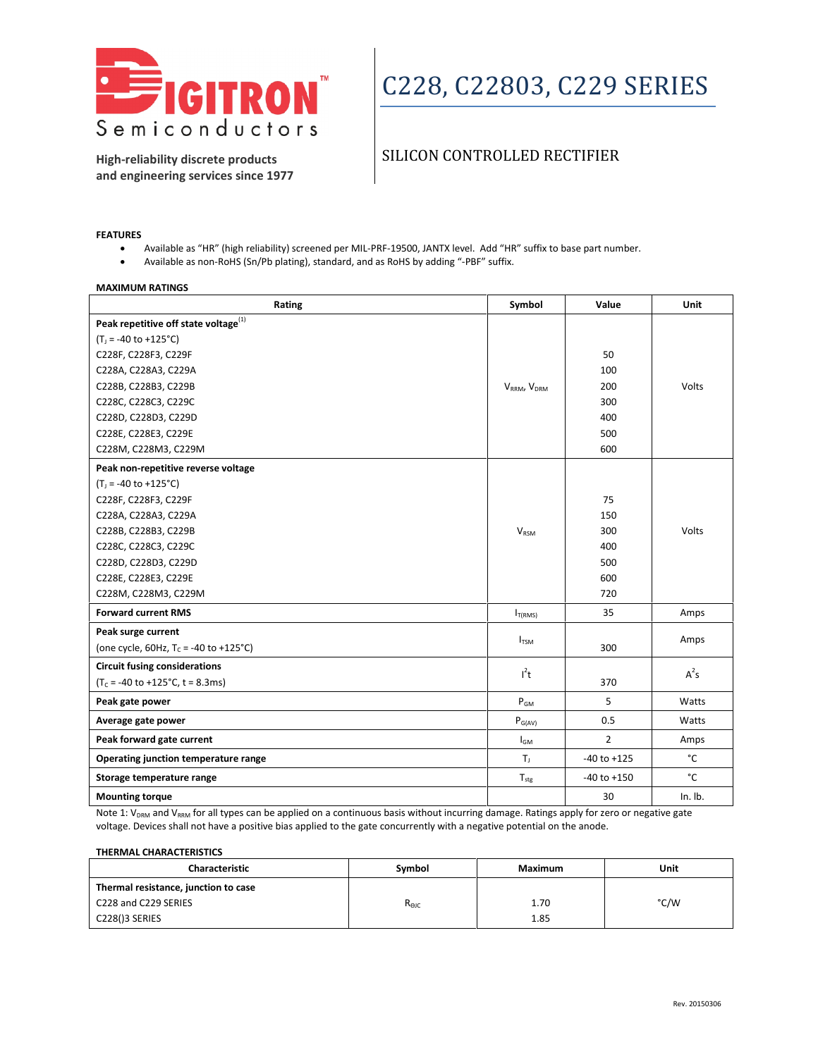

### SILICON CONTROLLED RECTIFIER

**High-reliability discrete products and engineering services since 1977**

#### **FEATURES**

- Available as "HR" (high reliability) screened per MIL-PRF-19500, JANTX level. Add "HR" suffix to base part number.
- Available as non-RoHS (Sn/Pb plating), standard, and as RoHS by adding "-PBF" suffix.

| <b>MAXIMUM RATINGS</b>                           |                                     |                 |             |  |
|--------------------------------------------------|-------------------------------------|-----------------|-------------|--|
| Rating                                           | Symbol                              | Value           | <b>Unit</b> |  |
| Peak repetitive off state voltage <sup>(1)</sup> |                                     |                 |             |  |
| $(T_1 = -40$ to $+125$ °C)                       |                                     |                 |             |  |
| C228F, C228F3, C229F                             |                                     | 50              |             |  |
| C228A, C228A3, C229A                             |                                     | 100             |             |  |
| C228B, C228B3, C229B                             | V <sub>RRM</sub> , V <sub>DRM</sub> | 200             | Volts       |  |
| C228C, C228C3, C229C                             |                                     | 300             |             |  |
| C228D, C228D3, C229D                             |                                     | 400             |             |  |
| C228E, C228E3, C229E                             |                                     | 500             |             |  |
| C228M, C228M3, C229M                             |                                     | 600             |             |  |
| Peak non-repetitive reverse voltage              |                                     |                 |             |  |
| $(T_1 = -40$ to $+125^{\circ}$ C)                |                                     |                 |             |  |
| C228F, C228F3, C229F                             |                                     | 75              |             |  |
| C228A, C228A3, C229A                             |                                     | 150             |             |  |
| C228B, C228B3, C229B                             | <b>V<sub>RSM</sub></b>              | 300             | Volts       |  |
| C228C, C228C3, C229C                             |                                     | 400             |             |  |
| C228D, C228D3, C229D                             |                                     | 500             |             |  |
| C228E, C228E3, C229E                             |                                     | 600             |             |  |
| C228M, C228M3, C229M                             |                                     | 720             |             |  |
| <b>Forward current RMS</b>                       | $I_{T(RMS)}$                        | 35              | Amps        |  |
| Peak surge current                               |                                     |                 | Amps        |  |
| (one cycle, 60Hz, $T_c$ = -40 to +125°C)         | $I_{TSM}$                           | 300             |             |  |
| <b>Circuit fusing considerations</b>             | $l^2t$                              |                 | $A^2s$      |  |
| $(T_c = -40$ to $+125$ °C, t = 8.3ms)            |                                     | 370             |             |  |
| Peak gate power                                  | $P_{GM}$                            | 5               | Watts       |  |
| Average gate power                               | $P_{G(AV)}$                         | 0.5             | Watts       |  |
| Peak forward gate current                        | $I_{GM}$                            | $\overline{2}$  | Amps        |  |
| Operating junction temperature range             | $T_{\rm J}$                         | $-40$ to $+125$ | °C          |  |
| Storage temperature range                        | $T_{\text{stg}}$                    | $-40$ to $+150$ | °C          |  |
| <b>Mounting torque</b>                           |                                     | 30              | $In.$ Ib.   |  |

Note 1: V<sub>DRM</sub> and V<sub>RRM</sub> for all types can be applied on a continuous basis without incurring damage. Ratings apply for zero or negative gate voltage. Devices shall not have a positive bias applied to the gate concurrently with a negative potential on the anode.

#### **THERMAL CHARACTERISTICS**

| <b>Characteristic</b>                | Symbol         | Maximum | Unit |
|--------------------------------------|----------------|---------|------|
| Thermal resistance, junction to case |                |         |      |
| C228 and C229 SERIES                 | $R_{\Theta$ JC | 1.70    | °C/W |
| C228()3 SERIES                       |                | 1.85    |      |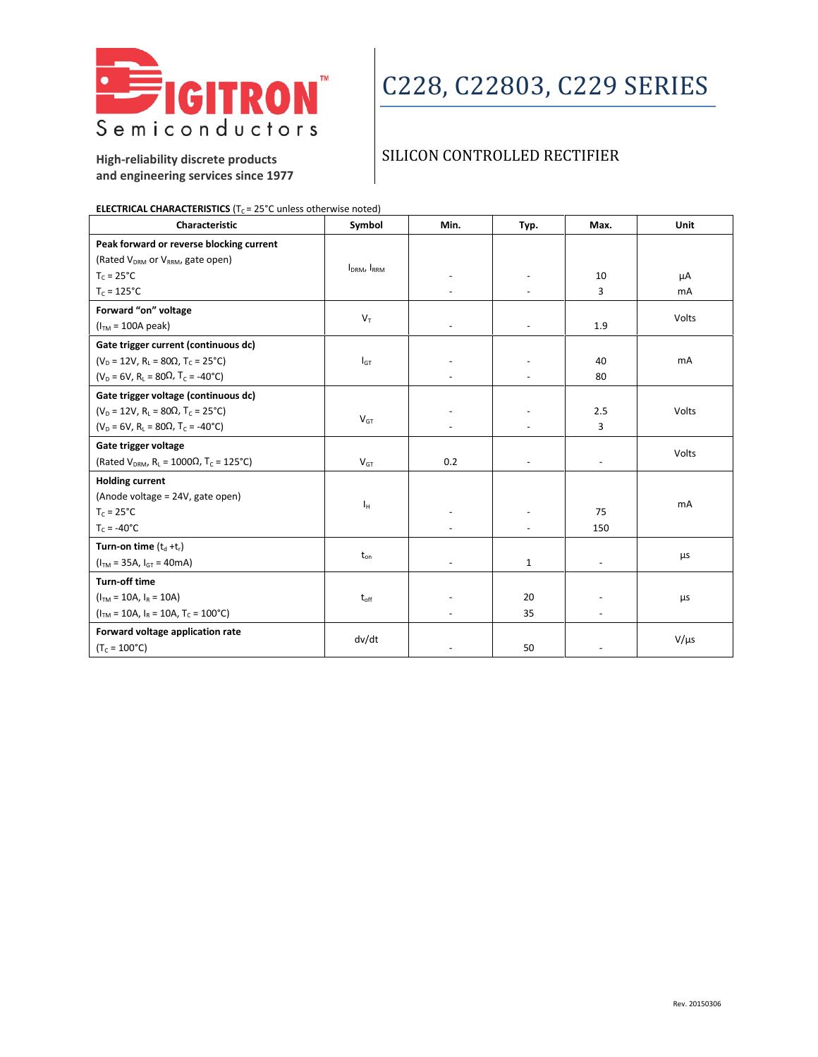

### SILICON CONTROLLED RECTIFIER

**High-reliability discrete products and engineering services since 1977**

| <b>ELECTRICAL CHARACTERISTICS</b> ( $T_c$ = 25 <sup>°</sup> C unless otherwise noted) |  |
|---------------------------------------------------------------------------------------|--|
|                                                                                       |  |

| Characteristic                                                              | Symbol                              | Min.     | Typ.                     | Max.                     | Unit           |
|-----------------------------------------------------------------------------|-------------------------------------|----------|--------------------------|--------------------------|----------------|
| Peak forward or reverse blocking current                                    |                                     |          |                          |                          |                |
| (Rated V <sub>DRM</sub> or V <sub>RRM</sub> , gate open)                    | I <sub>DRM</sub> , I <sub>RRM</sub> |          |                          |                          |                |
| $T_c = 25^{\circ}C$                                                         |                                     |          | $\overline{\phantom{a}}$ | 10                       | μA             |
| $T_c = 125^{\circ}C$                                                        |                                     |          |                          | 3                        | m <sub>A</sub> |
| Forward "on" voltage                                                        |                                     |          |                          |                          |                |
| $(ITM = 100A peak)$                                                         | $V_T$                               |          | $\omega$                 | 1.9                      | Volts          |
| Gate trigger current (continuous dc)                                        |                                     |          |                          |                          |                |
| $(V_D = 12V, R_1 = 80\Omega, T_C = 25^{\circ}C)$                            | $I_{GT}$                            |          |                          | 40                       | <b>mA</b>      |
| $(V_D = 6V, R_L = 80\Omega, T_C = -40\degree C)$                            |                                     |          |                          | 80                       |                |
| Gate trigger voltage (continuous dc)                                        |                                     |          |                          |                          |                |
| $(V_D = 12V, R_L = 80\Omega, T_C = 25^{\circ}C)$                            |                                     |          |                          | 2.5                      | Volts          |
| $(V_D = 6V, R_1 = 80\Omega, T_C = -40^{\circ}C)$                            | $V_{GT}$                            |          |                          | 3                        |                |
| Gate trigger voltage                                                        |                                     |          |                          |                          | Volts          |
| (Rated $V_{DRM}$ , R <sub>L</sub> = 1000 $\Omega$ , T <sub>C</sub> = 125°C) | $V_{GT}$                            | 0.2      | $\overline{\phantom{a}}$ | $\overline{\phantom{a}}$ |                |
| <b>Holding current</b>                                                      |                                     |          |                          |                          |                |
| (Anode voltage = 24V, gate open)                                            |                                     |          |                          |                          | mA             |
| $T_c = 25^{\circ}C$                                                         | Iн                                  |          | ٠                        | 75                       |                |
| $T_c = -40^{\circ}C$                                                        |                                     |          | $\blacksquare$           | 150                      |                |
| Turn-on time $(t_d + t_r)$                                                  |                                     |          |                          |                          |                |
| $(ITM = 35A, IGT = 40mA)$                                                   | $t_{\text{on}}$                     | $\equiv$ | $\mathbf{1}$             | $\overline{\phantom{a}}$ | μs             |
| Turn-off time                                                               |                                     |          |                          |                          |                |
| $(ITM = 10A, IR = 10A)$                                                     | $t_{\text{off}}$                    |          | 20                       |                          | μs             |
| $(ITM = 10A, IR = 10A, TC = 100°C)$                                         |                                     |          | 35                       |                          |                |
| Forward voltage application rate                                            |                                     |          |                          |                          |                |
| $(T_c = 100^{\circ}C)$                                                      | dv/dt                               |          | 50                       |                          | $V/\mu s$      |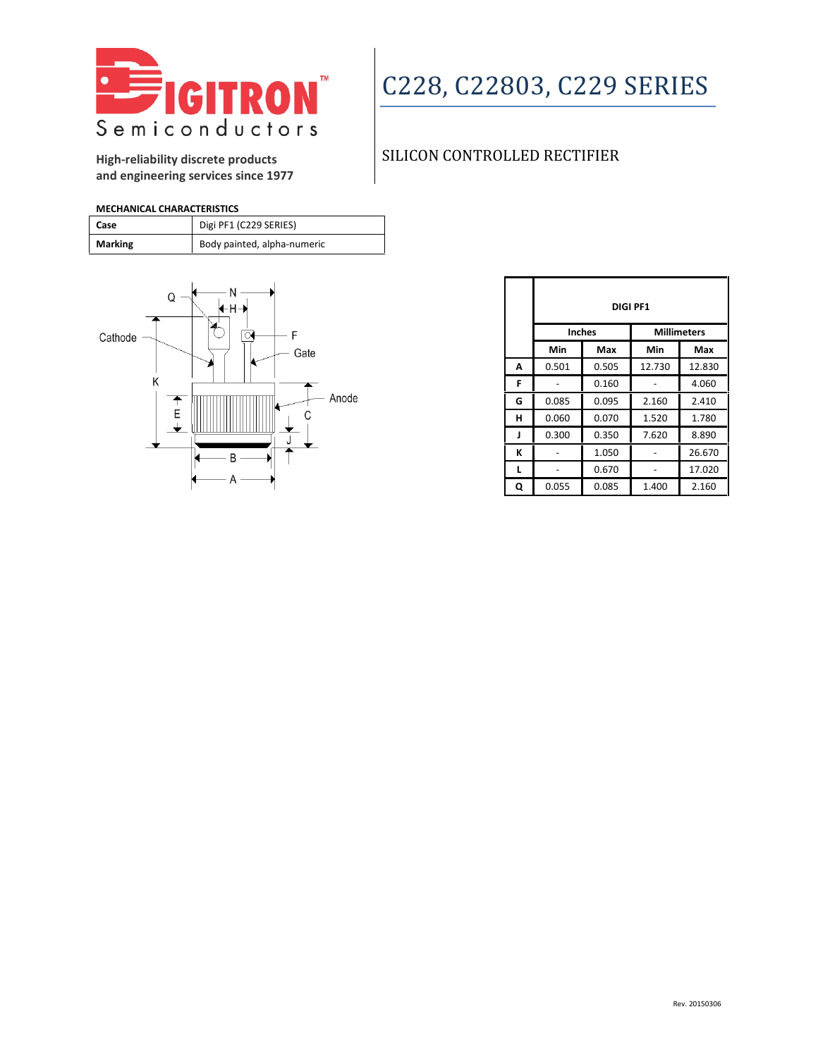

#### **High-reliability discrete products and engineering services since 1977**

### SILICON CONTROLLED RECTIFIER

**MECHANICAL CHARACTERISTICS**

| Case           | Digi PF1 (C229 SERIES)      |
|----------------|-----------------------------|
| <b>Marking</b> | Body painted, alpha-numeric |



|   | <b>DIGI PF1</b> |       |                    |        |
|---|-----------------|-------|--------------------|--------|
|   | <b>Inches</b>   |       | <b>Millimeters</b> |        |
|   | Min             | Max   | Min                | Max    |
| A | 0.501           | 0.505 | 12.730             | 12.830 |
| F |                 | 0.160 |                    | 4.060  |
| G | 0.085           | 0.095 | 2.160              | 2.410  |
| н | 0.060           | 0.070 | 1.520              | 1.780  |
| J | 0.300           | 0.350 | 7.620              | 8.890  |
| К |                 | 1.050 |                    | 26.670 |
| L |                 | 0.670 |                    | 17.020 |
| Q | 0.055           | 0.085 | 1.400              | 2.160  |